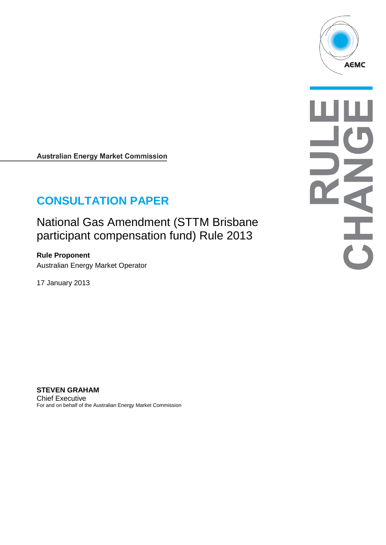

OHAH

**Australian Energy Market Commission** 

# **CONSULTATION PAPER**

National Gas Amendment (STTM Brisbane participant compensation fund) Rule 2013

**Rule Proponent** Australian Energy Market Operator

17 January 2013

**STEVEN GRAHAM** Chief Executive For and on behalf of the Australian Energy Market Commission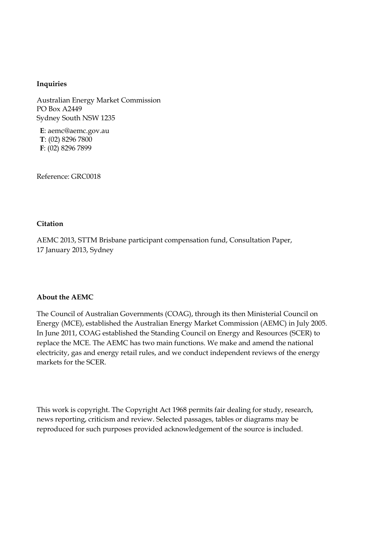#### **Inquiries**

Australian Energy Market Commission PO Box A2449 Sydney South NSW 1235

**E**: aemc@aemc.gov.au **T**: (02) 8296 7800 **F**: (02) 8296 7899

Reference: GRC0018

#### **Citation**

AEMC 2013, STTM Brisbane participant compensation fund, Consultation Paper, 17 January 2013, Sydney

#### **About the AEMC**

The Council of Australian Governments (COAG), through its then Ministerial Council on Energy (MCE), established the Australian Energy Market Commission (AEMC) in July 2005. In June 2011, COAG established the Standing Council on Energy and Resources (SCER) to replace the MCE. The AEMC has two main functions. We make and amend the national electricity, gas and energy retail rules, and we conduct independent reviews of the energy markets for the SCER.

This work is copyright. The Copyright Act 1968 permits fair dealing for study, research, news reporting, criticism and review. Selected passages, tables or diagrams may be reproduced for such purposes provided acknowledgement of the source is included.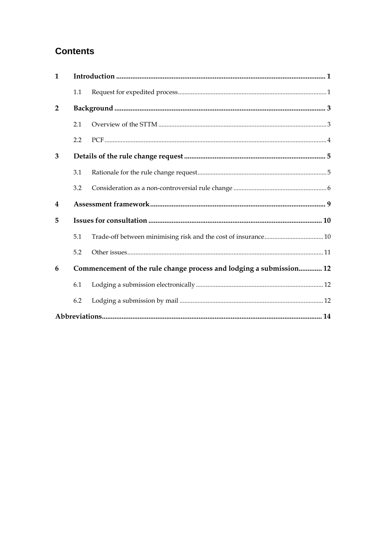# **Contents**

| $\mathbf{1}$            |     |                                                                     |  |
|-------------------------|-----|---------------------------------------------------------------------|--|
|                         | 1.1 |                                                                     |  |
| $\mathbf{2}$            |     |                                                                     |  |
|                         | 2.1 |                                                                     |  |
|                         | 2.2 |                                                                     |  |
| 3                       |     |                                                                     |  |
|                         | 3.1 |                                                                     |  |
|                         | 3.2 |                                                                     |  |
| $\overline{\mathbf{4}}$ |     |                                                                     |  |
|                         |     |                                                                     |  |
| 5                       |     |                                                                     |  |
|                         | 5.1 |                                                                     |  |
|                         | 5.2 |                                                                     |  |
| 6                       |     | Commencement of the rule change process and lodging a submission 12 |  |
|                         | 6.1 |                                                                     |  |
|                         | 6.2 |                                                                     |  |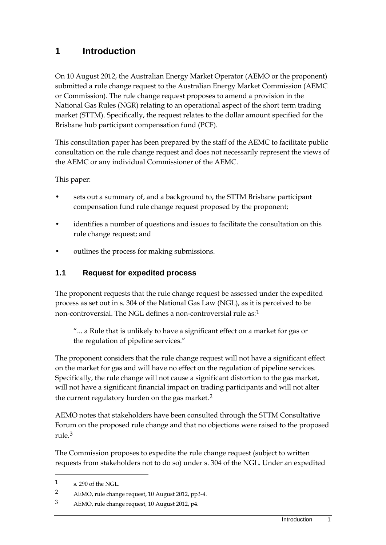### <span id="page-4-0"></span>**1 Introduction**

On 10 August 2012, the Australian Energy Market Operator (AEMO or the proponent) submitted a rule change request to the Australian Energy Market Commission (AEMC or Commission). The rule change request proposes to amend a provision in the National Gas Rules (NGR) relating to an operational aspect of the short term trading market (STTM). Specifically, the request relates to the dollar amount specified for the Brisbane hub participant compensation fund (PCF).

This consultation paper has been prepared by the staff of the AEMC to facilitate public consultation on the rule change request and does not necessarily represent the views of the AEMC or any individual Commissioner of the AEMC.

This paper:

- sets out a summary of, and a background to, the STTM Brisbane participant compensation fund rule change request proposed by the proponent;
- identifies a number of questions and issues to facilitate the consultation on this rule change request; and
- outlines the process for making submissions.

#### <span id="page-4-1"></span>**1.1 Request for expedited process**

The proponent requests that the rule change request be assessed under the expedited process as set out in s. 304 of the National Gas Law (NGL), as it is perceived to be non-controversial. The NGL defines a non-controversial rule as:[1](#page-4-2)

"... a Rule that is unlikely to have a significant effect on a market for gas or the regulation of pipeline services."

The proponent considers that the rule change request will not have a significant effect on the market for gas and will have no effect on the regulation of pipeline services. Specifically, the rule change will not cause a significant distortion to the gas market, will not have a significant financial impact on trading participants and will not alter the current regulatory burden on the gas market.<sup>[2](#page-4-3)</sup>

AEMO notes that stakeholders have been consulted through the STTM Consultative Forum on the proposed rule change and that no objections were raised to the proposed rule.[3](#page-4-4)

The Commission proposes to expedite the rule change request (subject to written requests from stakeholders not to do so) under s. 304 of the NGL. Under an expedited

<span id="page-4-2"></span><sup>1</sup> s. 290 of the NGL.

<span id="page-4-3"></span><sup>2</sup> AEMO, rule change request, 10 August 2012, pp3-4.

<span id="page-4-4"></span><sup>3</sup> AEMO, rule change request, 10 August 2012, p4.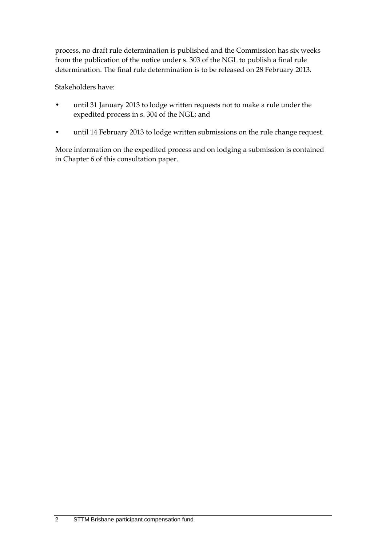process, no draft rule determination is published and the Commission has six weeks from the publication of the notice under s. 303 of the NGL to publish a final rule determination. The final rule determination is to be released on 28 February 2013.

Stakeholders have:

- until 31 January 2013 to lodge written requests not to make a rule under the expedited process in s. 304 of the NGL; and
- until 14 February 2013 to lodge written submissions on the rule change request.

More information on the expedited process and on lodging a submission is contained in Chapter 6 of this consultation paper.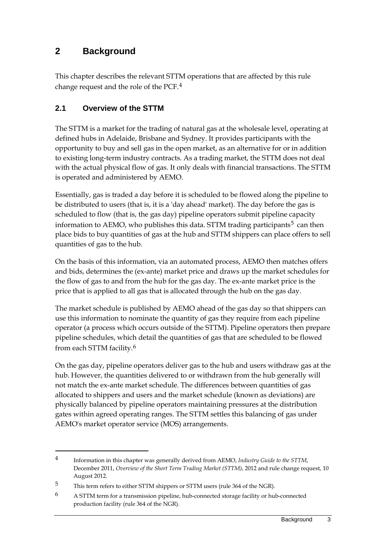### <span id="page-6-0"></span>**2 Background**

This chapter describes the relevant STTM operations that are affected by this rule change request and the role of the PCF.[4](#page-6-2)

### <span id="page-6-1"></span>**2.1 Overview of the STTM**

The STTM is a market for the trading of natural gas at the wholesale level, operating at defined hubs in Adelaide, Brisbane and Sydney. It provides participants with the opportunity to buy and sell gas in the open market, as an alternative for or in addition to existing long-term industry contracts. As a trading market, the STTM does not deal with the actual physical flow of gas. It only deals with financial transactions. The STTM is operated and administered by AEMO.

Essentially, gas is traded a day before it is scheduled to be flowed along the pipeline to be distributed to users (that is, it is a 'day ahead' market). The day before the gas is scheduled to flow (that is, the gas day) pipeline operators submit pipeline capacity information to AEMO, who publishes this data. STTM trading participants<sup>[5](#page-6-3)</sup> can then place bids to buy quantities of gas at the hub and STTM shippers can place offers to sell quantities of gas to the hub.

On the basis of this information, via an automated process, AEMO then matches offers and bids, determines the (ex-ante) market price and draws up the market schedules for the flow of gas to and from the hub for the gas day. The ex-ante market price is the price that is applied to all gas that is allocated through the hub on the gas day.

The market schedule is published by AEMO ahead of the gas day so that shippers can use this information to nominate the quantity of gas they require from each pipeline operator (a process which occurs outside of the STTM). Pipeline operators then prepare pipeline schedules, which detail the quantities of gas that are scheduled to be flowed from each STTM facility.[6](#page-6-4)

On the gas day, pipeline operators deliver gas to the hub and users withdraw gas at the hub. However, the quantities delivered to or withdrawn from the hub generally will not match the ex-ante market schedule. The differences between quantities of gas allocated to shippers and users and the market schedule (known as deviations) are physically balanced by pipeline operators maintaining pressures at the distribution gates within agreed operating ranges. The STTM settles this balancing of gas under AEMO's market operator service (MOS) arrangements.

<span id="page-6-2"></span><sup>4</sup> Information in this chapter was generally derived from AEMO, *Industry Guide to the STTM*, December 2011, *Overview of the Short Term Trading Market (STTM)*, 2012 and rule change request, 10 August 2012.

<span id="page-6-3"></span><sup>5</sup> This term refers to either STTM shippers or STTM users (rule 364 of the NGR).

<span id="page-6-4"></span><sup>6</sup> A STTM term for a transmission pipeline, hub-connected storage facility or hub-connected production facility (rule 364 of the NGR).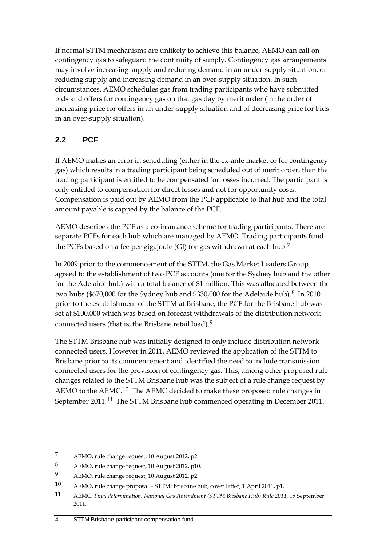If normal STTM mechanisms are unlikely to achieve this balance, AEMO can call on contingency gas to safeguard the continuity of supply. Contingency gas arrangements may involve increasing supply and reducing demand in an under-supply situation, or reducing supply and increasing demand in an over-supply situation. In such circumstances, AEMO schedules gas from trading participants who have submitted bids and offers for contingency gas on that gas day by merit order (in the order of increasing price for offers in an under-supply situation and of decreasing price for bids in an over-supply situation).

### <span id="page-7-0"></span>**2.2 PCF**

If AEMO makes an error in scheduling (either in the ex-ante market or for contingency gas) which results in a trading participant being scheduled out of merit order, then the trading participant is entitled to be compensated for losses incurred. The participant is only entitled to compensation for direct losses and not for opportunity costs. Compensation is paid out by AEMO from the PCF applicable to that hub and the total amount payable is capped by the balance of the PCF.

AEMO describes the PCF as a co-insurance scheme for trading participants. There are separate PCFs for each hub which are managed by AEMO. Trading participants fund the PCFs based on a fee per gigajoule (GJ) for gas withdrawn at each hub.<sup>[7](#page-7-1)</sup>

In 2009 prior to the commencement of the STTM, the Gas Market Leaders Group agreed to the establishment of two PCF accounts (one for the Sydney hub and the other for the Adelaide hub) with a total balance of \$1 million. This was allocated between the two hubs (\$670,000 for the Sydney hub and \$330,000 for the Adelaide hub). $8 \text{ In } 2010$  $8 \text{ In } 2010$ prior to the establishment of the STTM at Brisbane, the PCF for the Brisbane hub was set at \$100,000 which was based on forecast withdrawals of the distribution network connected users (that is, the Brisbane retail load).[9](#page-7-3)

The STTM Brisbane hub was initially designed to only include distribution network connected users. However in 2011, AEMO reviewed the application of the STTM to Brisbane prior to its commencement and identified the need to include transmission connected users for the provision of contingency gas. This, among other proposed rule changes related to the STTM Brisbane hub was the subject of a rule change request by AEMO to the AEMC.<sup>[10](#page-7-4)</sup> The AEMC decided to make these proposed rule changes in September 2011.[11](#page-7-5) The STTM Brisbane hub commenced operating in December 2011.

<span id="page-7-1"></span><sup>7</sup> AEMO, rule change request, 10 August 2012, p2.

<span id="page-7-2"></span><sup>8</sup> AEMO, rule change request, 10 August 2012, p10.

<span id="page-7-3"></span><sup>9</sup> AEMO, rule change request, 10 August 2012, p2.

<span id="page-7-4"></span><sup>10</sup> AEMO, rule change proposal – STTM: Brisbane hub, cover letter, 1 April 2011, p1.

<span id="page-7-5"></span><sup>11</sup> AEMC, *Final determination, National Gas Amendment (STTM Brisbane Hub) Rule 2011*, 15 September 2011.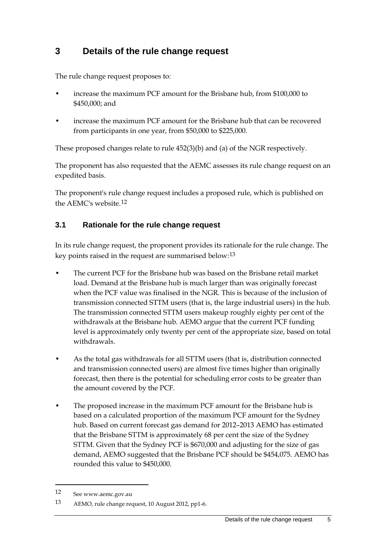## <span id="page-8-0"></span>**3 Details of the rule change request**

The rule change request proposes to:

- increase the maximum PCF amount for the Brisbane hub, from \$100,000 to \$450,000; and
- increase the maximum PCF amount for the Brisbane hub that can be recovered from participants in one year, from \$50,000 to \$225,000.

These proposed changes relate to rule 452(3)(b) and (a) of the NGR respectively.

The proponent has also requested that the AEMC assesses its rule change request on an expedited basis.

The proponent's rule change request includes a proposed rule, which is published on the AEMC's website.[12](#page-8-2)

#### <span id="page-8-1"></span>**3.1 Rationale for the rule change request**

In its rule change request, the proponent provides its rationale for the rule change. The key points raised in the request are summarised below:[13](#page-8-3)

- The current PCF for the Brisbane hub was based on the Brisbane retail market load. Demand at the Brisbane hub is much larger than was originally forecast when the PCF value was finalised in the NGR. This is because of the inclusion of transmission connected STTM users (that is, the large industrial users) in the hub. The transmission connected STTM users makeup roughly eighty per cent of the withdrawals at the Brisbane hub. AEMO argue that the current PCF funding level is approximately only twenty per cent of the appropriate size, based on total withdrawals.
- As the total gas withdrawals for all STTM users (that is, distribution connected and transmission connected users) are almost five times higher than originally forecast, then there is the potential for scheduling error costs to be greater than the amount covered by the PCF.
- The proposed increase in the maximum PCF amount for the Brisbane hub is based on a calculated proportion of the maximum PCF amount for the Sydney hub. Based on current forecast gas demand for 2012–2013 AEMO has estimated that the Brisbane STTM is approximately 68 per cent the size of the Sydney STTM. Given that the Sydney PCF is \$670,000 and adjusting for the size of gas demand, AEMO suggested that the Brisbane PCF should be \$454,075. AEMO has rounded this value to \$450,000.

<span id="page-8-2"></span><sup>12</sup> See www.aemc.gov.au

<span id="page-8-3"></span><sup>13</sup> AEMO, rule change request, 10 August 2012, pp1-6.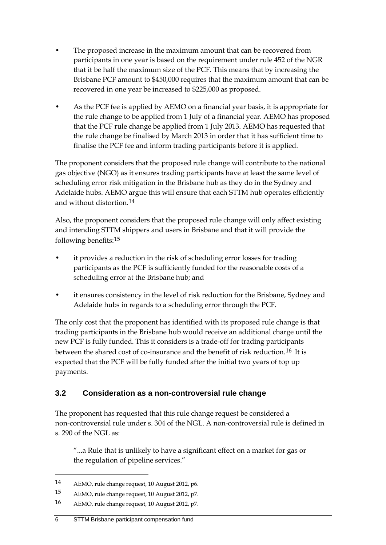- The proposed increase in the maximum amount that can be recovered from participants in one year is based on the requirement under rule 452 of the NGR that it be half the maximum size of the PCF. This means that by increasing the Brisbane PCF amount to \$450,000 requires that the maximum amount that can be recovered in one year be increased to \$225,000 as proposed.
- As the PCF fee is applied by AEMO on a financial year basis, it is appropriate for the rule change to be applied from 1 July of a financial year. AEMO has proposed that the PCF rule change be applied from 1 July 2013. AEMO has requested that the rule change be finalised by March 2013 in order that it has sufficient time to finalise the PCF fee and inform trading participants before it is applied.

The proponent considers that the proposed rule change will contribute to the national gas objective (NGO) as it ensures trading participants have at least the same level of scheduling error risk mitigation in the Brisbane hub as they do in the Sydney and Adelaide hubs. AEMO argue this will ensure that each STTM hub operates efficiently and without distortion.[14](#page-9-1)

Also, the proponent considers that the proposed rule change will only affect existing and intending STTM shippers and users in Brisbane and that it will provide the following benefits:[15](#page-9-2)

- it provides a reduction in the risk of scheduling error losses for trading participants as the PCF is sufficiently funded for the reasonable costs of a scheduling error at the Brisbane hub; and
- it ensures consistency in the level of risk reduction for the Brisbane, Sydney and Adelaide hubs in regards to a scheduling error through the PCF.

The only cost that the proponent has identified with its proposed rule change is that trading participants in the Brisbane hub would receive an additional charge until the new PCF is fully funded. This it considers is a trade-off for trading participants between the shared cost of co-insurance and the benefit of risk reduction.<sup>[16](#page-9-3)</sup> It is expected that the PCF will be fully funded after the initial two years of top up payments.

### <span id="page-9-0"></span>**3.2 Consideration as a non-controversial rule change**

The proponent has requested that this rule change request be considered a non-controversial rule under s. 304 of the NGL. A non-controversial rule is defined in s. 290 of the NGL as:

"...a Rule that is unlikely to have a significant effect on a market for gas or the regulation of pipeline services."

<span id="page-9-1"></span><sup>14</sup> AEMO, rule change request, 10 August 2012, p6.

<span id="page-9-2"></span><sup>15</sup> AEMO, rule change request, 10 August 2012, p7.

<span id="page-9-3"></span><sup>16</sup> AEMO, rule change request, 10 August 2012, p7.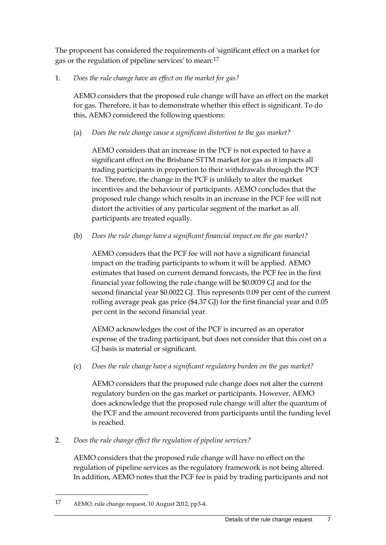The proponent has considered the requirements of 'significant effect on a market for gas or the regulation of pipeline services' to mean:[17](#page-10-0)

1. *Does the rule change have an effect on the market for gas?*

AEMO considers that the proposed rule change will have an effect on the market for gas. Therefore, it has to demonstrate whether this effect is significant. To do this, AEMO considered the following questions:

(a) *Does the rule change cause a significant distortion to the gas market?*

AEMO considers that an increase in the PCF is not expected to have a significant effect on the Brisbane STTM market for gas as it impacts all trading participants in proportion to their withdrawals through the PCF fee. Therefore, the change in the PCF is unlikely to alter the market incentives and the behaviour of participants. AEMO concludes that the proposed rule change which results in an increase in the PCF fee will not distort the activities of any particular segment of the market as all participants are treated equally.

(b) *Does the rule change have a significant financial impact on the gas market?*

AEMO considers that the PCF fee will not have a significant financial impact on the trading participants to whom it will be applied. AEMO estimates that based on current demand forecasts, the PCF fee in the first financial year following the rule change will be \$0.0039 GJ and for the second financial year \$0.0022 GJ. This represents 0.09 per cent of the current rolling average peak gas price (\$4.37 GJ) for the first financial year and 0.05 per cent in the second financial year.

AEMO acknowledges the cost of the PCF is incurred as an operator expense of the trading participant, but does not consider that this cost on a GJ basis is material or significant.

(c) *Does the rule change have a significant regulatory burden on the gas market?*

AEMO considers that the proposed rule change does not alter the current regulatory burden on the gas market or participants. However, AEMO does acknowledge that the proposed rule change will alter the quantum of the PCF and the amount recovered from participants until the funding level is reached.

2. *Does the rule change effect the regulation of pipeline services?*

AEMO considers that the proposed rule change will have no effect on the regulation of pipeline services as the regulatory framework is not being altered. In addition, AEMO notes that the PCF fee is paid by trading participants and not

<span id="page-10-0"></span><sup>17</sup> AEMO, rule change request, 10 August 2012, pp3-4.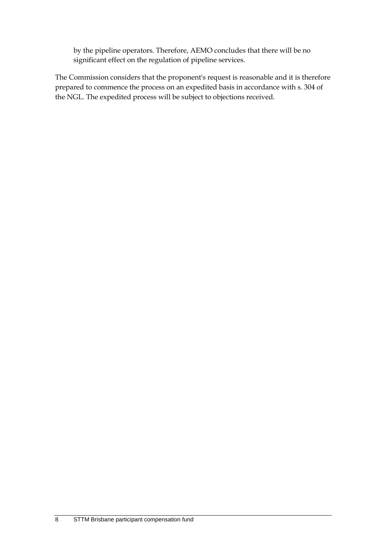by the pipeline operators. Therefore, AEMO concludes that there will be no significant effect on the regulation of pipeline services.

The Commission considers that the proponent's request is reasonable and it is therefore prepared to commence the process on an expedited basis in accordance with s. 304 of the NGL. The expedited process will be subject to objections received.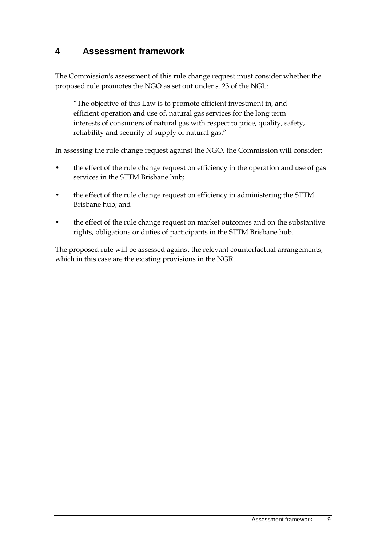### <span id="page-12-0"></span>**4 Assessment framework**

The Commission's assessment of this rule change request must consider whether the proposed rule promotes the NGO as set out under s. 23 of the NGL:

"The objective of this Law is to promote efficient investment in, and efficient operation and use of, natural gas services for the long term interests of consumers of natural gas with respect to price, quality, safety, reliability and security of supply of natural gas."

In assessing the rule change request against the NGO, the Commission will consider:

- the effect of the rule change request on efficiency in the operation and use of gas services in the STTM Brisbane hub;
- the effect of the rule change request on efficiency in administering the STTM Brisbane hub; and
- the effect of the rule change request on market outcomes and on the substantive rights, obligations or duties of participants in the STTM Brisbane hub.

The proposed rule will be assessed against the relevant counterfactual arrangements, which in this case are the existing provisions in the NGR.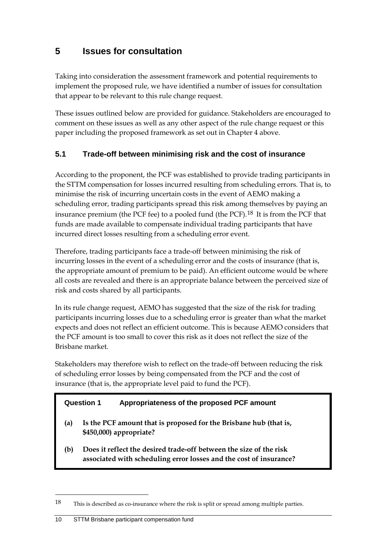# <span id="page-13-0"></span>**5 Issues for consultation**

Taking into consideration the assessment framework and potential requirements to implement the proposed rule, we have identified a number of issues for consultation that appear to be relevant to this rule change request.

These issues outlined below are provided for guidance. Stakeholders are encouraged to comment on these issues as well as any other aspect of the rule change request or this paper including the proposed framework as set out in Chapter 4 above.

### <span id="page-13-1"></span>**5.1 Trade-off between minimising risk and the cost of insurance**

According to the proponent, the PCF was established to provide trading participants in the STTM compensation for losses incurred resulting from scheduling errors. That is, to minimise the risk of incurring uncertain costs in the event of AEMO making a scheduling error, trading participants spread this risk among themselves by paying an insurance premium (the PCF fee) to a pooled fund (the PCF).[18](#page-13-2) It is from the PCF that funds are made available to compensate individual trading participants that have incurred direct losses resulting from a scheduling error event.

Therefore, trading participants face a trade-off between minimising the risk of incurring losses in the event of a scheduling error and the costs of insurance (that is, the appropriate amount of premium to be paid). An efficient outcome would be where all costs are revealed and there is an appropriate balance between the perceived size of risk and costs shared by all participants.

In its rule change request, AEMO has suggested that the size of the risk for trading participants incurring losses due to a scheduling error is greater than what the market expects and does not reflect an efficient outcome. This is because AEMO considers that the PCF amount is too small to cover this risk as it does not reflect the size of the Brisbane market.

Stakeholders may therefore wish to reflect on the trade-off between reducing the risk of scheduling error losses by being compensated from the PCF and the cost of insurance (that is, the appropriate level paid to fund the PCF).

#### **Question 1 Appropriateness of the proposed PCF amount**

- **(a) Is the PCF amount that is proposed for the Brisbane hub (that is, \$450,000) appropriate?**
- **(b) Does it reflect the desired trade-off between the size of the risk associated with scheduling error losses and the cost of insurance?**

<span id="page-13-2"></span><sup>18</sup> This is described as co-insurance where the risk is split or spread among multiple parties.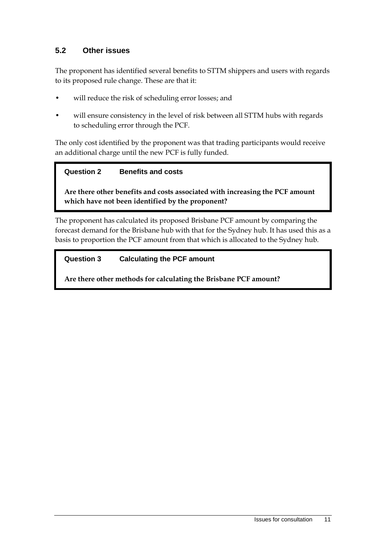### <span id="page-14-0"></span>**5.2 Other issues**

The proponent has identified several benefits to STTM shippers and users with regards to its proposed rule change. These are that it:

- will reduce the risk of scheduling error losses; and
- will ensure consistency in the level of risk between all STTM hubs with regards to scheduling error through the PCF.

The only cost identified by the proponent was that trading participants would receive an additional charge until the new PCF is fully funded.

#### **Question 2 Benefits and costs**

**Are there other benefits and costs associated with increasing the PCF amount which have not been identified by the proponent?**

The proponent has calculated its proposed Brisbane PCF amount by comparing the forecast demand for the Brisbane hub with that for the Sydney hub. It has used this as a basis to proportion the PCF amount from that which is allocated to the Sydney hub.

#### **Question 3 Calculating the PCF amount**

**Are there other methods for calculating the Brisbane PCF amount?**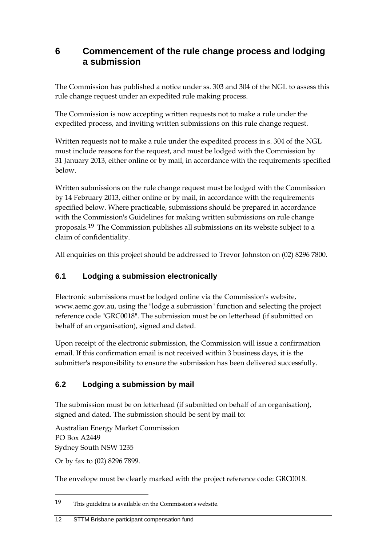### <span id="page-15-0"></span>**6 Commencement of the rule change process and lodging a submission**

The Commission has published a notice under ss. 303 and 304 of the NGL to assess this rule change request under an expedited rule making process.

The Commission is now accepting written requests not to make a rule under the expedited process, and inviting written submissions on this rule change request.

Written requests not to make a rule under the expedited process in s. 304 of the NGL must include reasons for the request, and must be lodged with the Commission by 31 January 2013, either online or by mail, in accordance with the requirements specified below.

Written submissions on the rule change request must be lodged with the Commission by 14 February 2013, either online or by mail, in accordance with the requirements specified below. Where practicable, submissions should be prepared in accordance with the Commission's Guidelines for making written submissions on rule change proposals.[19](#page-15-3) The Commission publishes all submissions on its website subject to a claim of confidentiality.

All enquiries on this project should be addressed to Trevor Johnston on (02) 8296 7800.

### <span id="page-15-1"></span>**6.1 Lodging a submission electronically**

Electronic submissions must be lodged online via the Commission's website, www.aemc.gov.au, using the "lodge a submission" function and selecting the project reference code "GRC0018". The submission must be on letterhead (if submitted on behalf of an organisation), signed and dated.

Upon receipt of the electronic submission, the Commission will issue a confirmation email. If this confirmation email is not received within 3 business days, it is the submitter's responsibility to ensure the submission has been delivered successfully.

### <span id="page-15-2"></span>**6.2 Lodging a submission by mail**

The submission must be on letterhead (if submitted on behalf of an organisation), signed and dated. The submission should be sent by mail to:

Australian Energy Market Commission PO Box A2449 Sydney South NSW 1235

Or by fax to (02) 8296 7899.

-

The envelope must be clearly marked with the project reference code: GRC0018.

<span id="page-15-3"></span><sup>19</sup> This guideline is available on the Commission's website.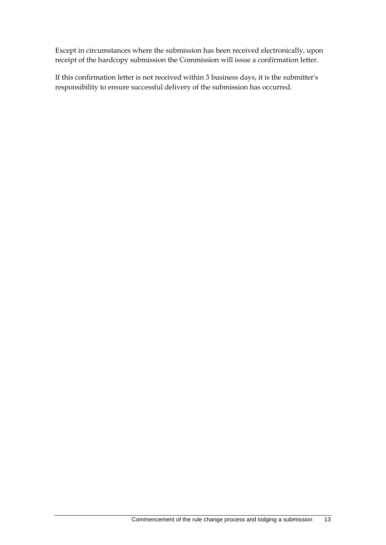Except in circumstances where the submission has been received electronically, upon receipt of the hardcopy submission the Commission will issue a confirmation letter.

If this confirmation letter is not received within 3 business days, it is the submitter's responsibility to ensure successful delivery of the submission has occurred.